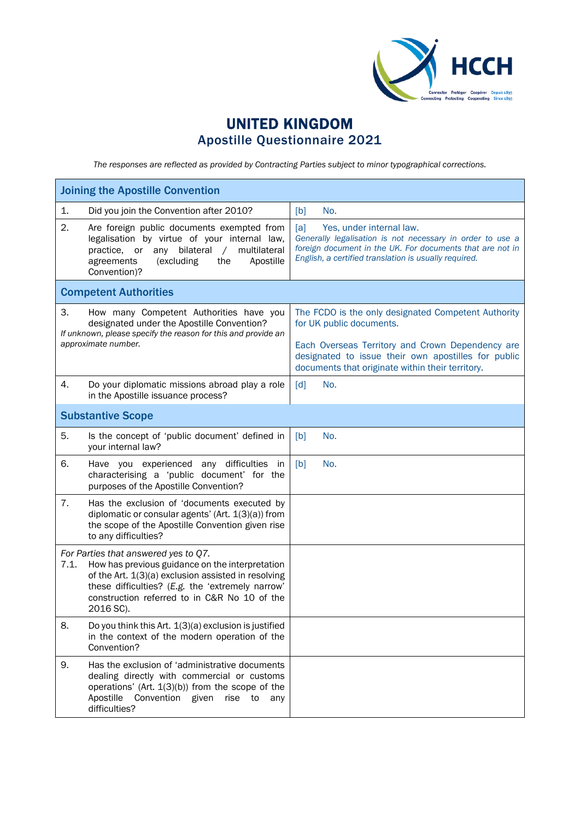

## UNITED KINGDOM Apostille Questionnaire 2021

*The responses are reflected as provided by Contracting Parties subject to minor typographical corrections.*

| <b>Joining the Apostille Convention</b>                                                                                                                                                                                                                                 |                                                                                                                                                                                                                                                |  |  |
|-------------------------------------------------------------------------------------------------------------------------------------------------------------------------------------------------------------------------------------------------------------------------|------------------------------------------------------------------------------------------------------------------------------------------------------------------------------------------------------------------------------------------------|--|--|
| Did you join the Convention after 2010?<br>1.                                                                                                                                                                                                                           | [b]<br>No.                                                                                                                                                                                                                                     |  |  |
| 2.<br>Are foreign public documents exempted from<br>legalisation by virtue of your internal law,<br>any<br>bilateral<br>multilateral<br>practice.<br>or<br>$\sqrt{2}$<br>Apostille<br>(excluding<br>the<br>agreements<br>Convention)?                                   | Yes, under internal law.<br>[a]<br>Generally legalisation is not necessary in order to use a<br>foreign document in the UK. For documents that are not in<br>English, a certified translation is usually required.                             |  |  |
| <b>Competent Authorities</b>                                                                                                                                                                                                                                            |                                                                                                                                                                                                                                                |  |  |
| 3.<br>How many Competent Authorities have you<br>designated under the Apostille Convention?<br>If unknown, please specify the reason for this and provide an<br>approximate number.                                                                                     | The FCDO is the only designated Competent Authority<br>for UK public documents.<br>Each Overseas Territory and Crown Dependency are<br>designated to issue their own apostilles for public<br>documents that originate within their territory. |  |  |
| 4.<br>Do your diplomatic missions abroad play a role<br>in the Apostille issuance process?                                                                                                                                                                              | $\lceil d \rceil$<br>No.                                                                                                                                                                                                                       |  |  |
| <b>Substantive Scope</b>                                                                                                                                                                                                                                                |                                                                                                                                                                                                                                                |  |  |
| 5.<br>Is the concept of 'public document' defined in<br>your internal law?                                                                                                                                                                                              | [b]<br>No.                                                                                                                                                                                                                                     |  |  |
| 6.<br>Have you experienced any difficulties in<br>characterising a 'public document' for the<br>purposes of the Apostille Convention?                                                                                                                                   | [b]<br>No.                                                                                                                                                                                                                                     |  |  |
| 7.<br>Has the exclusion of 'documents executed by<br>diplomatic or consular agents' (Art. 1(3)(a)) from<br>the scope of the Apostille Convention given rise<br>to any difficulties?                                                                                     |                                                                                                                                                                                                                                                |  |  |
| For Parties that answered yes to Q7.<br>How has previous guidance on the interpretation<br>7.1.<br>of the Art. 1(3)(a) exclusion assisted in resolving<br>these difficulties? (E.g. the 'extremely narrow'<br>construction referred to in C&R No 10 of the<br>2016 SC). |                                                                                                                                                                                                                                                |  |  |
| 8.<br>Do you think this Art. 1(3)(a) exclusion is justified<br>in the context of the modern operation of the<br>Convention?                                                                                                                                             |                                                                                                                                                                                                                                                |  |  |
| 9.<br>Has the exclusion of 'administrative documents<br>dealing directly with commercial or customs<br>operations' (Art. 1(3)(b)) from the scope of the<br>Convention<br>Apostille<br>given<br>rise<br>to<br>any<br>difficulties?                                       |                                                                                                                                                                                                                                                |  |  |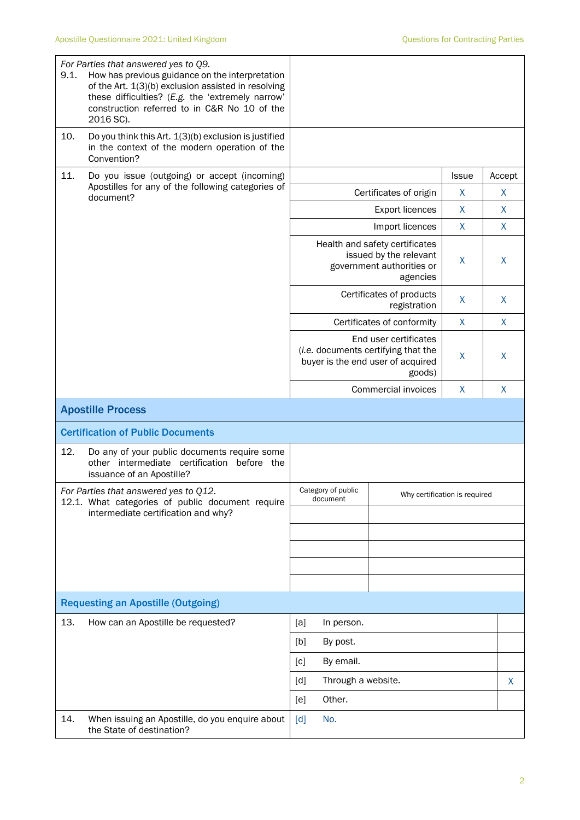| 9.1. | For Parties that answered yes to Q9.<br>How has previous guidance on the interpretation<br>of the Art. 1(3)(b) exclusion assisted in resolving<br>these difficulties? (E.g. the 'extremely narrow'<br>construction referred to in C&R No 10 of the<br>2016 SC). |                                                                 |                                                                                                             |              |        |
|------|-----------------------------------------------------------------------------------------------------------------------------------------------------------------------------------------------------------------------------------------------------------------|-----------------------------------------------------------------|-------------------------------------------------------------------------------------------------------------|--------------|--------|
| 10.  | Do you think this Art. 1(3)(b) exclusion is justified<br>in the context of the modern operation of the<br>Convention?                                                                                                                                           |                                                                 |                                                                                                             |              |        |
| 11.  | Do you issue (outgoing) or accept (incoming)                                                                                                                                                                                                                    |                                                                 |                                                                                                             | <b>Issue</b> | Accept |
|      | Apostilles for any of the following categories of<br>document?                                                                                                                                                                                                  |                                                                 | Certificates of origin                                                                                      |              |        |
|      |                                                                                                                                                                                                                                                                 |                                                                 | <b>Export licences</b>                                                                                      | $\mathsf{X}$ | X      |
|      |                                                                                                                                                                                                                                                                 |                                                                 | Import licences                                                                                             | $\mathsf{X}$ | X      |
|      |                                                                                                                                                                                                                                                                 |                                                                 | Health and safety certificates<br>issued by the relevant<br>government authorities or<br>agencies           |              | X      |
|      |                                                                                                                                                                                                                                                                 |                                                                 | Certificates of products<br>registration                                                                    | X            | X      |
|      |                                                                                                                                                                                                                                                                 |                                                                 | Certificates of conformity                                                                                  | X            | X      |
|      |                                                                                                                                                                                                                                                                 |                                                                 | End user certificates<br>(i.e. documents certifying that the<br>buyer is the end user of acquired<br>goods) | X            | X      |
|      |                                                                                                                                                                                                                                                                 | Commercial invoices                                             |                                                                                                             | X            | X      |
|      | <b>Apostille Process</b>                                                                                                                                                                                                                                        |                                                                 |                                                                                                             |              |        |
|      | <b>Certification of Public Documents</b>                                                                                                                                                                                                                        |                                                                 |                                                                                                             |              |        |
| 12.  | Do any of your public documents require some<br>other intermediate certification before the<br>issuance of an Apostille?                                                                                                                                        |                                                                 |                                                                                                             |              |        |
|      | For Parties that answered yes to Q12.<br>12.1. What categories of public document require                                                                                                                                                                       | Category of public<br>Why certification is required<br>document |                                                                                                             |              |        |
|      | intermediate certification and why?                                                                                                                                                                                                                             |                                                                 |                                                                                                             |              |        |
|      |                                                                                                                                                                                                                                                                 |                                                                 |                                                                                                             |              |        |
|      |                                                                                                                                                                                                                                                                 |                                                                 |                                                                                                             |              |        |
|      |                                                                                                                                                                                                                                                                 |                                                                 |                                                                                                             |              |        |
|      | <b>Requesting an Apostille (Outgoing)</b>                                                                                                                                                                                                                       |                                                                 |                                                                                                             |              |        |
| 13.  | How can an Apostille be requested?                                                                                                                                                                                                                              | [a]<br>In person.                                               |                                                                                                             |              |        |
|      |                                                                                                                                                                                                                                                                 | [b]<br>By post.                                                 |                                                                                                             |              |        |
|      |                                                                                                                                                                                                                                                                 | By email.<br>[c]                                                |                                                                                                             |              |        |
|      |                                                                                                                                                                                                                                                                 | Through a website.<br>[d]                                       |                                                                                                             |              | X      |
|      |                                                                                                                                                                                                                                                                 | Other.<br>[e]                                                   |                                                                                                             |              |        |
| 14.  | When issuing an Apostille, do you enquire about<br>the State of destination?                                                                                                                                                                                    | No.<br>[d]                                                      |                                                                                                             |              |        |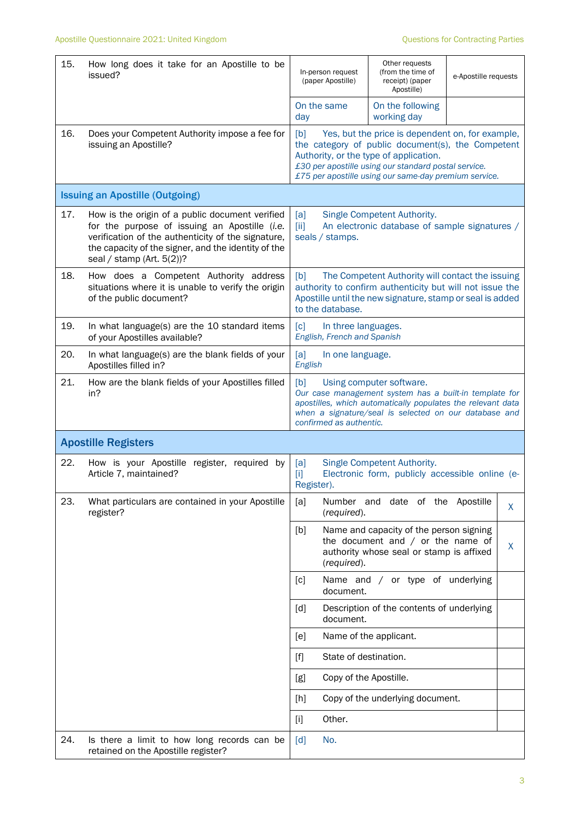| 15. | How long does it take for an Apostille to be<br>issued?                                                                                                                                                                                       | Other requests<br>(from the time of<br>In-person request<br>(paper Apostille)<br>receipt) (paper<br>Apostille)                                                                                                                                                          |                                                                                                                            | e-Apostille requests |   |
|-----|-----------------------------------------------------------------------------------------------------------------------------------------------------------------------------------------------------------------------------------------------|-------------------------------------------------------------------------------------------------------------------------------------------------------------------------------------------------------------------------------------------------------------------------|----------------------------------------------------------------------------------------------------------------------------|----------------------|---|
|     |                                                                                                                                                                                                                                               | On the same<br>day                                                                                                                                                                                                                                                      | On the following<br>working day                                                                                            |                      |   |
| 16. | Does your Competent Authority impose a fee for<br>issuing an Apostille?                                                                                                                                                                       | Yes, but the price is dependent on, for example,<br>[b]<br>the category of public document(s), the Competent<br>Authority, or the type of application.<br>£30 per apostille using our standard postal service.<br>£75 per apostille using our same-day premium service. |                                                                                                                            |                      |   |
|     | <b>Issuing an Apostille (Outgoing)</b>                                                                                                                                                                                                        |                                                                                                                                                                                                                                                                         |                                                                                                                            |                      |   |
| 17. | How is the origin of a public document verified<br>for the purpose of issuing an Apostille (i.e.<br>verification of the authenticity of the signature,<br>the capacity of the signer, and the identity of the<br>seal / stamp (Art. $5(2)$ )? | Single Competent Authority.<br>[a]<br>An electronic database of sample signatures /<br>$\left[\right]$<br>seals / stamps.                                                                                                                                               |                                                                                                                            |                      |   |
| 18. | How does a Competent Authority address<br>situations where it is unable to verify the origin<br>of the public document?                                                                                                                       | The Competent Authority will contact the issuing<br>[b]<br>authority to confirm authenticity but will not issue the<br>Apostille until the new signature, stamp or seal is added<br>to the database.                                                                    |                                                                                                                            |                      |   |
| 19. | In what language(s) are the 10 standard items<br>of your Apostilles available?                                                                                                                                                                | $\lceil c \rceil$<br>In three languages.<br>English, French and Spanish                                                                                                                                                                                                 |                                                                                                                            |                      |   |
| 20. | In what language(s) are the blank fields of your<br>Apostilles filled in?                                                                                                                                                                     | [a]<br>In one language.<br>English                                                                                                                                                                                                                                      |                                                                                                                            |                      |   |
| 21. | How are the blank fields of your Apostilles filled<br>in?                                                                                                                                                                                     | [b]<br>Using computer software.<br>Our case management system has a built-in template for<br>apostilles, which automatically populates the relevant data<br>when a signature/seal is selected on our database and<br>confirmed as authentic.                            |                                                                                                                            |                      |   |
|     | <b>Apostille Registers</b>                                                                                                                                                                                                                    |                                                                                                                                                                                                                                                                         |                                                                                                                            |                      |   |
| 22. | How is your Apostille register, required by<br>Article 7, maintained?                                                                                                                                                                         | [a]<br>$[1]$<br>Register).                                                                                                                                                                                                                                              | Single Competent Authority.<br>Electronic form, publicly accessible online (e-                                             |                      |   |
| 23. | What particulars are contained in your Apostille<br>register?                                                                                                                                                                                 | [a]<br>Number and<br>(required).                                                                                                                                                                                                                                        | date of the Apostille                                                                                                      |                      | X |
|     |                                                                                                                                                                                                                                               | [b]<br>(required).                                                                                                                                                                                                                                                      | Name and capacity of the person signing<br>the document and $/$ or the name of<br>authority whose seal or stamp is affixed |                      | X |
|     |                                                                                                                                                                                                                                               | [c]<br>document.                                                                                                                                                                                                                                                        | Name and / or type of underlying                                                                                           |                      |   |
|     |                                                                                                                                                                                                                                               | $\lceil d \rceil$<br>document.                                                                                                                                                                                                                                          | Description of the contents of underlying                                                                                  |                      |   |
|     |                                                                                                                                                                                                                                               | [e]                                                                                                                                                                                                                                                                     | Name of the applicant.                                                                                                     |                      |   |
|     |                                                                                                                                                                                                                                               | State of destination.<br>$[f]$                                                                                                                                                                                                                                          |                                                                                                                            |                      |   |
|     |                                                                                                                                                                                                                                               | Copy of the Apostille.<br>[g]                                                                                                                                                                                                                                           |                                                                                                                            |                      |   |
|     |                                                                                                                                                                                                                                               | [h]                                                                                                                                                                                                                                                                     | Copy of the underlying document.                                                                                           |                      |   |
|     |                                                                                                                                                                                                                                               | Other.<br>$[1]$                                                                                                                                                                                                                                                         |                                                                                                                            |                      |   |
| 24. | Is there a limit to how long records can be<br>retained on the Apostille register?                                                                                                                                                            | No.<br>[d]                                                                                                                                                                                                                                                              |                                                                                                                            |                      |   |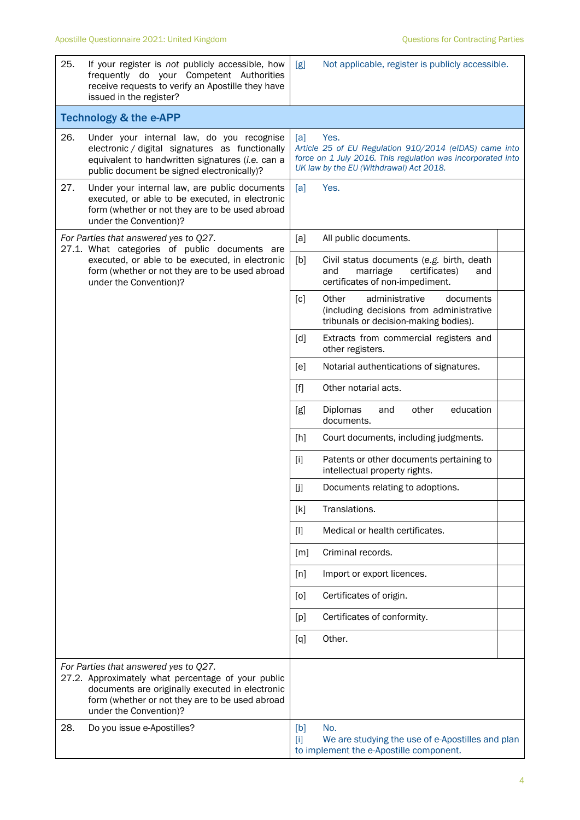| 25.                                                                                    | If your register is not publicly accessible, how<br>frequently do your Competent Authorities<br>receive requests to verify an Apostille they have<br>issued in the register?                                                | [g]                                                                                                                                                                             | Not applicable, register is publicly accessible.                                                                          |  |  |  |
|----------------------------------------------------------------------------------------|-----------------------------------------------------------------------------------------------------------------------------------------------------------------------------------------------------------------------------|---------------------------------------------------------------------------------------------------------------------------------------------------------------------------------|---------------------------------------------------------------------------------------------------------------------------|--|--|--|
|                                                                                        | <b>Technology &amp; the e-APP</b>                                                                                                                                                                                           |                                                                                                                                                                                 |                                                                                                                           |  |  |  |
| 26.                                                                                    | Under your internal law, do you recognise<br>electronic / digital signatures as functionally<br>equivalent to handwritten signatures (i.e. can a<br>public document be signed electronically)?                              | Yes.<br>[a]<br>Article 25 of EU Regulation 910/2014 (eIDAS) came into<br>force on 1 July 2016. This regulation was incorporated into<br>UK law by the EU (Withdrawal) Act 2018. |                                                                                                                           |  |  |  |
| 27.                                                                                    | Under your internal law, are public documents<br>executed, or able to be executed, in electronic<br>form (whether or not they are to be used abroad<br>under the Convention)?                                               | [a]                                                                                                                                                                             | Yes.                                                                                                                      |  |  |  |
| For Parties that answered yes to Q27.<br>27.1. What categories of public documents are |                                                                                                                                                                                                                             | [a]                                                                                                                                                                             | All public documents.                                                                                                     |  |  |  |
|                                                                                        | executed, or able to be executed, in electronic<br>form (whether or not they are to be used abroad<br>under the Convention)?                                                                                                | [b]                                                                                                                                                                             | Civil status documents (e.g. birth, death<br>and<br>marriage<br>certificates)<br>and<br>certificates of non-impediment.   |  |  |  |
|                                                                                        |                                                                                                                                                                                                                             | $\lceil c \rceil$                                                                                                                                                               | Other<br>administrative<br>documents<br>(including decisions from administrative<br>tribunals or decision-making bodies). |  |  |  |
|                                                                                        |                                                                                                                                                                                                                             | [d]                                                                                                                                                                             | Extracts from commercial registers and<br>other registers.                                                                |  |  |  |
|                                                                                        |                                                                                                                                                                                                                             | [e]                                                                                                                                                                             | Notarial authentications of signatures.                                                                                   |  |  |  |
|                                                                                        |                                                                                                                                                                                                                             | $[f]$                                                                                                                                                                           | Other notarial acts.                                                                                                      |  |  |  |
|                                                                                        |                                                                                                                                                                                                                             | [g]                                                                                                                                                                             | education<br>Diplomas<br>other<br>and<br>documents.                                                                       |  |  |  |
|                                                                                        |                                                                                                                                                                                                                             | [h]                                                                                                                                                                             | Court documents, including judgments.                                                                                     |  |  |  |
|                                                                                        |                                                                                                                                                                                                                             | $[1]$                                                                                                                                                                           | Patents or other documents pertaining to<br>intellectual property rights.                                                 |  |  |  |
|                                                                                        |                                                                                                                                                                                                                             | [j]                                                                                                                                                                             | Documents relating to adoptions.                                                                                          |  |  |  |
|                                                                                        |                                                                                                                                                                                                                             | [k]                                                                                                                                                                             | Translations.                                                                                                             |  |  |  |
|                                                                                        |                                                                                                                                                                                                                             | $[]$                                                                                                                                                                            | Medical or health certificates.                                                                                           |  |  |  |
|                                                                                        |                                                                                                                                                                                                                             | [m]                                                                                                                                                                             | Criminal records.                                                                                                         |  |  |  |
|                                                                                        |                                                                                                                                                                                                                             | [n]                                                                                                                                                                             | Import or export licences.                                                                                                |  |  |  |
|                                                                                        |                                                                                                                                                                                                                             | [0]                                                                                                                                                                             | Certificates of origin.                                                                                                   |  |  |  |
|                                                                                        |                                                                                                                                                                                                                             | [p]                                                                                                                                                                             | Certificates of conformity.                                                                                               |  |  |  |
|                                                                                        |                                                                                                                                                                                                                             | [q]                                                                                                                                                                             | Other.                                                                                                                    |  |  |  |
|                                                                                        | For Parties that answered yes to Q27.<br>27.2. Approximately what percentage of your public<br>documents are originally executed in electronic<br>form (whether or not they are to be used abroad<br>under the Convention)? |                                                                                                                                                                                 |                                                                                                                           |  |  |  |
| 28.                                                                                    | Do you issue e-Apostilles?                                                                                                                                                                                                  | [b]<br>$[1]$                                                                                                                                                                    | No.<br>We are studying the use of e-Apostilles and plan<br>to implement the e-Apostille component.                        |  |  |  |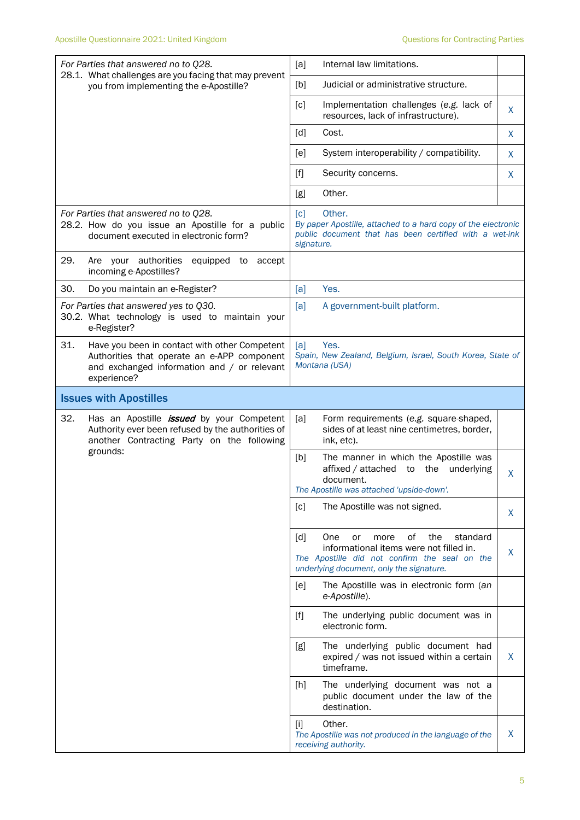| For Parties that answered no to Q28.<br>28.1. What challenges are you facing that may prevent                                                                     | [a]<br>Internal law limitations.                                                                                                                                                               |  |  |
|-------------------------------------------------------------------------------------------------------------------------------------------------------------------|------------------------------------------------------------------------------------------------------------------------------------------------------------------------------------------------|--|--|
| you from implementing the e-Apostille?                                                                                                                            | Judicial or administrative structure.<br>[b]                                                                                                                                                   |  |  |
|                                                                                                                                                                   | $\lceil c \rceil$<br>Implementation challenges (e.g. lack of<br>X<br>resources, lack of infrastructure).                                                                                       |  |  |
|                                                                                                                                                                   | [d]<br>Cost.<br>X                                                                                                                                                                              |  |  |
|                                                                                                                                                                   | System interoperability / compatibility.<br>[e]<br>X                                                                                                                                           |  |  |
|                                                                                                                                                                   | $[f]$<br>Security concerns.<br>X                                                                                                                                                               |  |  |
|                                                                                                                                                                   | Other.<br>[g]                                                                                                                                                                                  |  |  |
| For Parties that answered no to Q28.<br>28.2. How do you issue an Apostille for a public<br>document executed in electronic form?                                 | Other.<br>$\lceil c \rceil$<br>By paper Apostille, attached to a hard copy of the electronic<br>public document that has been certified with a wet-ink<br>signature.                           |  |  |
| 29.<br>Are your authorities<br>equipped to accept<br>incoming e-Apostilles?                                                                                       |                                                                                                                                                                                                |  |  |
| 30.<br>Do you maintain an e-Register?                                                                                                                             | Yes.<br>[a]                                                                                                                                                                                    |  |  |
| For Parties that answered yes to Q30.<br>30.2. What technology is used to maintain your<br>e-Register?                                                            | [a]<br>A government-built platform.                                                                                                                                                            |  |  |
| 31.<br>Have you been in contact with other Competent<br>Authorities that operate an e-APP component<br>and exchanged information and / or relevant<br>experience? | Yes.<br>[a]<br>Spain, New Zealand, Belgium, Israel, South Korea, State of<br>Montana (USA)                                                                                                     |  |  |
| <b>Issues with Apostilles</b>                                                                                                                                     |                                                                                                                                                                                                |  |  |
| 32.<br>Has an Apostille <i>issued</i> by your Competent<br>Authority ever been refused by the authorities of<br>another Contracting Party on the following        | [a]<br>Form requirements (e.g. square-shaped,<br>sides of at least nine centimetres, border,<br>ink, etc).                                                                                     |  |  |
| grounds:                                                                                                                                                          | The manner in which the Apostille was<br>[b]<br>affixed / attached to the underlying<br>X<br>document.<br>The Apostille was attached 'upside-down'.                                            |  |  |
|                                                                                                                                                                   | The Apostille was not signed.<br>[c]<br>X                                                                                                                                                      |  |  |
|                                                                                                                                                                   | 0f<br>[d]<br>the<br>standard<br>One<br>or<br>more<br>informational items were not filled in.<br>X<br>The Apostille did not confirm the seal on the<br>underlying document, only the signature. |  |  |
|                                                                                                                                                                   | The Apostille was in electronic form (an<br>[e]<br>e-Apostille).                                                                                                                               |  |  |
|                                                                                                                                                                   | $[f]$<br>The underlying public document was in<br>electronic form.                                                                                                                             |  |  |
|                                                                                                                                                                   | [g]<br>The underlying public document had<br>X<br>expired / was not issued within a certain<br>timeframe.                                                                                      |  |  |
|                                                                                                                                                                   | The underlying document was not a<br>$[h]$<br>public document under the law of the<br>destination.                                                                                             |  |  |
|                                                                                                                                                                   | Other.<br>$[1]$<br>X<br>The Apostille was not produced in the language of the<br>receiving authority.                                                                                          |  |  |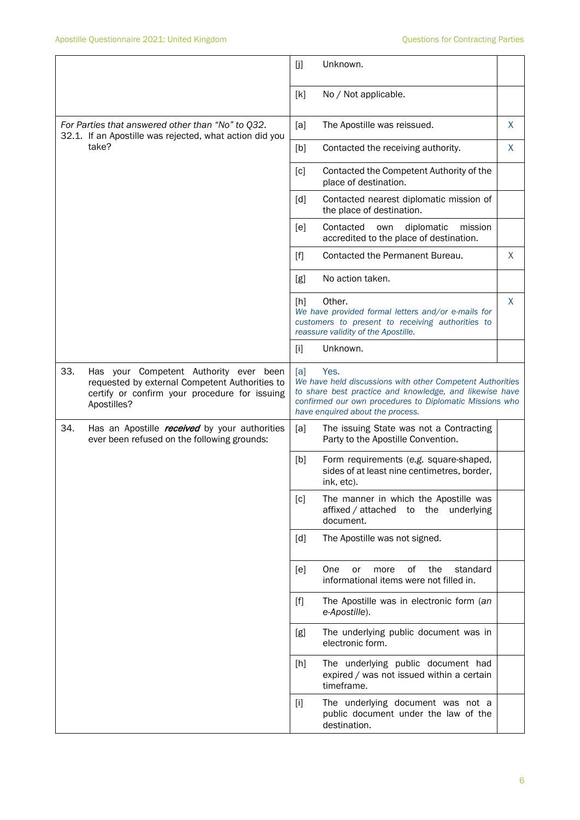|                                                                                                                                                                 | [j]<br>Unknown.                                                                                                                                                                                                                    |  |  |
|-----------------------------------------------------------------------------------------------------------------------------------------------------------------|------------------------------------------------------------------------------------------------------------------------------------------------------------------------------------------------------------------------------------|--|--|
|                                                                                                                                                                 | [k]<br>No / Not applicable.                                                                                                                                                                                                        |  |  |
| For Parties that answered other than "No" to Q32.<br>32.1. If an Apostille was rejected, what action did you                                                    | X<br>[a]<br>The Apostille was reissued.                                                                                                                                                                                            |  |  |
| take?                                                                                                                                                           | X<br>[b]<br>Contacted the receiving authority.                                                                                                                                                                                     |  |  |
|                                                                                                                                                                 | Contacted the Competent Authority of the<br>[c]<br>place of destination.                                                                                                                                                           |  |  |
|                                                                                                                                                                 | Contacted nearest diplomatic mission of<br>$\lceil d \rceil$<br>the place of destination.                                                                                                                                          |  |  |
|                                                                                                                                                                 | Contacted<br>diplomatic<br>mission<br>[e]<br>own<br>accredited to the place of destination.                                                                                                                                        |  |  |
|                                                                                                                                                                 | Contacted the Permanent Bureau.<br>[f]<br>X.                                                                                                                                                                                       |  |  |
|                                                                                                                                                                 | No action taken.<br>[g]                                                                                                                                                                                                            |  |  |
|                                                                                                                                                                 | Other.<br>X<br>[h]<br>We have provided formal letters and/or e-mails for<br>customers to present to receiving authorities to<br>reassure validity of the Apostille.                                                                |  |  |
|                                                                                                                                                                 | Unknown.<br>$[1]$                                                                                                                                                                                                                  |  |  |
| 33.<br>Has your Competent Authority ever been<br>requested by external Competent Authorities to<br>certify or confirm your procedure for issuing<br>Apostilles? | Yes.<br>[a]<br>We have held discussions with other Competent Authorities<br>to share best practice and knowledge, and likewise have<br>confirmed our own procedures to Diplomatic Missions who<br>have enquired about the process. |  |  |
| 34.<br>Has an Apostille <i>received</i> by your authorities<br>ever been refused on the following grounds:                                                      | [a]<br>The issuing State was not a Contracting<br>Party to the Apostille Convention.                                                                                                                                               |  |  |
|                                                                                                                                                                 | [b]<br>Form requirements (e.g. square-shaped,<br>sides of at least nine centimetres, border,<br>ink, etc).                                                                                                                         |  |  |
|                                                                                                                                                                 | [c]<br>The manner in which the Apostille was<br>the underlying<br>affixed / attached<br>to<br>document.                                                                                                                            |  |  |
|                                                                                                                                                                 | The Apostille was not signed.<br>[d]                                                                                                                                                                                               |  |  |
|                                                                                                                                                                 | 0f<br>the<br>standard<br>One<br>[e]<br>or<br>more<br>informational items were not filled in.                                                                                                                                       |  |  |
|                                                                                                                                                                 | $[f]$<br>The Apostille was in electronic form (an<br>e-Apostille).                                                                                                                                                                 |  |  |
|                                                                                                                                                                 | The underlying public document was in<br>[g]<br>electronic form.                                                                                                                                                                   |  |  |
|                                                                                                                                                                 | The underlying public document had<br>$[h]$<br>expired / was not issued within a certain<br>timeframe.                                                                                                                             |  |  |
|                                                                                                                                                                 | The underlying document was not a<br>$[1]$<br>public document under the law of the<br>destination.                                                                                                                                 |  |  |